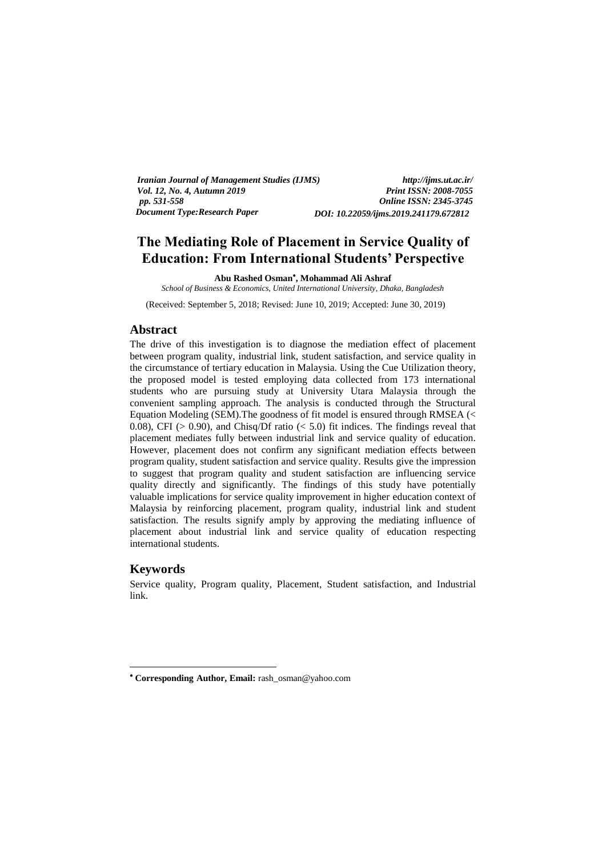*Iranian Journal of Management Studies (IJMS) http://ijms.ut.ac.ir/ Vol. 12, No. 4, Autumn 2019*<br>pp. 531-558 *pp. 531-558 Online ISSN: 2345-3745 Document Type:Research Paper DOI: 10.22059/ijms.2019.241179.672812*

# **The Mediating Role of Placement in Service Quality of Education: From International Students' Perspective**

**Abu Rashed Osman , Mohammad Ali Ashraf** 

*School of Business & Economics, United International University, Dhaka, Bangladesh* 

(Received: September 5, 2018; Revised: June 10, 2019; Accepted: June 30, 2019)

# **Abstract**

The drive of this investigation is to diagnose the mediation effect of placement between program quality, industrial link, student satisfaction, and service quality in the circumstance of tertiary education in Malaysia. Using the Cue Utilization theory, the proposed model is tested employing data collected from 173 international students who are pursuing study at University Utara Malaysia through the convenient sampling approach. The analysis is conducted through the Structural Equation Modeling (SEM).The goodness of fit model is ensured through RMSEA (< 0.08), CFI ( $> 0.90$ ), and Chisq/Df ratio ( $< 5.0$ ) fit indices. The findings reveal that placement mediates fully between industrial link and service quality of education. However, placement does not confirm any significant mediation effects between program quality, student satisfaction and service quality. Results give the impression to suggest that program quality and student satisfaction are influencing service quality directly and significantly. The findings of this study have potentially valuable implications for service quality improvement in higher education context of Malaysia by reinforcing placement, program quality, industrial link and student satisfaction. The results signify amply by approving the mediating influence of placement about industrial link and service quality of education respecting international students.

### **Keywords**

-

Service quality, Program quality, Placement, Student satisfaction, and Industrial link.

 **Corresponding Author, Email:** rash\_osman@yahoo.com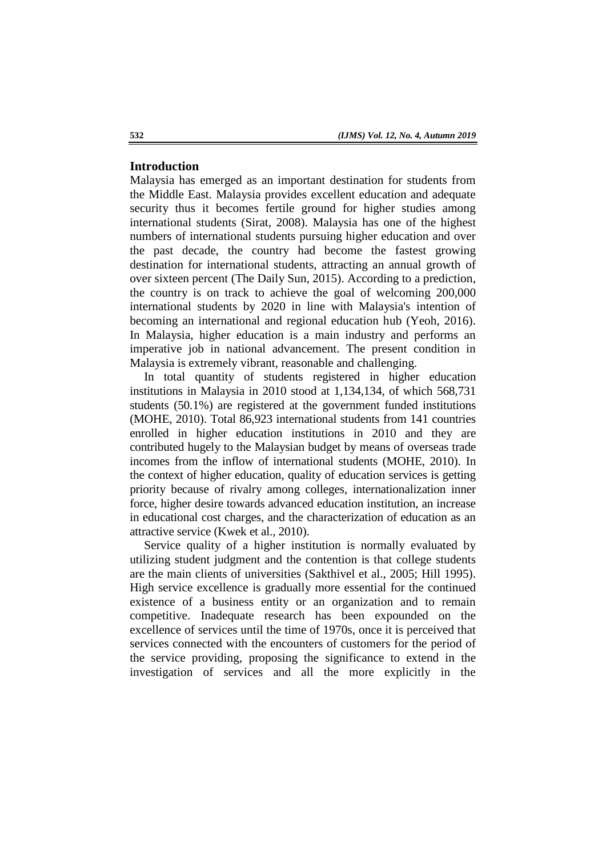# **Introduction**

Malaysia has emerged as an important destination for students from the Middle East. Malaysia provides excellent education and adequate security thus it becomes fertile ground for higher studies among international students (Sirat, 2008). Malaysia has one of the highest numbers of international students pursuing higher education and over the past decade, the country had become the fastest growing destination for international students, attracting an annual growth of over sixteen percent (The Daily Sun, 2015). According to a prediction, the country is on track to achieve the goal of welcoming 200,000 international students by 2020 in line with Malaysia's intention of becoming an international and regional education hub (Yeoh, 2016). In Malaysia, higher education is a main industry and performs an imperative job in national advancement. The present condition in Malaysia is extremely vibrant, reasonable and challenging.

In total quantity of students registered in higher education institutions in Malaysia in 2010 stood at 1,134,134, of which 568,731 students (50.1%) are registered at the government funded institutions (MOHE, 2010). Total 86,923 international students from 141 countries enrolled in higher education institutions in 2010 and they are contributed hugely to the Malaysian budget by means of overseas trade incomes from the inflow of international students (MOHE, 2010). In the context of higher education, quality of education services is getting priority because of rivalry among colleges, internationalization inner force, higher desire towards advanced education institution, an increase in educational cost charges, and the characterization of education as an attractive service (Kwek et al., 2010).

Service quality of a higher institution is normally evaluated by utilizing student judgment and the contention is that college students are the main clients of universities (Sakthivel et al., 2005; Hill 1995). High service excellence is gradually more essential for the continued existence of a business entity or an organization and to remain competitive. Inadequate research has been expounded on the excellence of services until the time of 1970s, once it is perceived that services connected with the encounters of customers for the period of the service providing, proposing the significance to extend in the investigation of services and all the more explicitly in the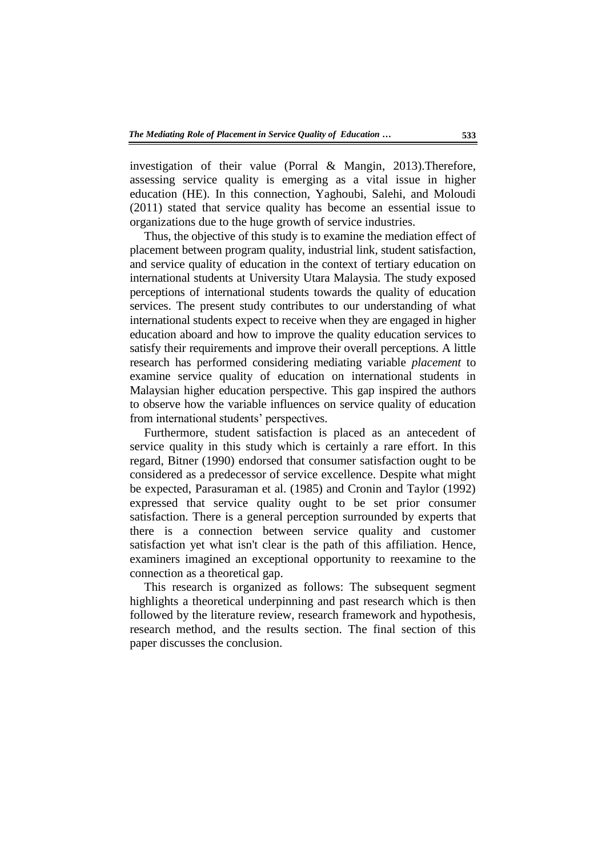investigation of their value (Porral & Mangin, 2013).Therefore, assessing service quality is emerging as a vital issue in higher education (HE). In this connection, Yaghoubi, Salehi, and Moloudi (2011) stated that service quality has become an essential issue to organizations due to the huge growth of service industries.

Thus, the objective of this study is to examine the mediation effect of placement between program quality, industrial link, student satisfaction, and service quality of education in the context of tertiary education on international students at University Utara Malaysia. The study exposed perceptions of international students towards the quality of education services. The present study contributes to our understanding of what international students expect to receive when they are engaged in higher education aboard and how to improve the quality education services to satisfy their requirements and improve their overall perceptions. A little research has performed considering mediating variable *placement* to examine service quality of education on international students in Malaysian higher education perspective. This gap inspired the authors to observe how the variable influences on service quality of education from international students' perspectives.

Furthermore, student satisfaction is placed as an antecedent of service quality in this study which is certainly a rare effort. In this regard, Bitner (1990) endorsed that consumer satisfaction ought to be considered as a predecessor of service excellence. Despite what might be expected, Parasuraman et al. (1985) and Cronin and Taylor (1992) expressed that service quality ought to be set prior consumer satisfaction. There is a general perception surrounded by experts that there is a connection between service quality and customer satisfaction yet what isn't clear is the path of this affiliation. Hence, examiners imagined an exceptional opportunity to reexamine to the connection as a theoretical gap.

This research is organized as follows: The subsequent segment highlights a theoretical underpinning and past research which is then followed by the literature review, research framework and hypothesis, research method, and the results section. The final section of this paper discusses the conclusion.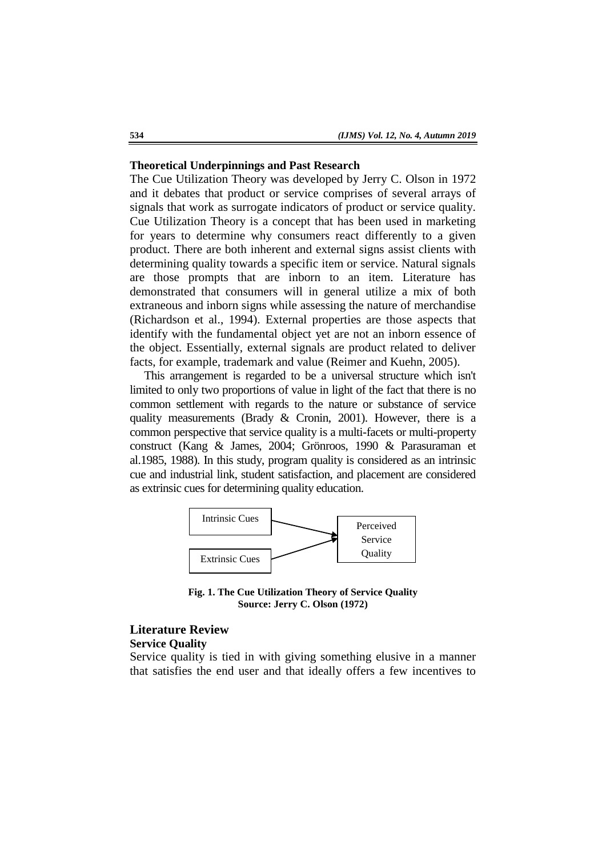#### **Theoretical Underpinnings and Past Research**

The Cue Utilization Theory was developed by Jerry C. Olson in 1972 and it debates that product or service comprises of several arrays of signals that work as surrogate indicators of product or service quality. Cue Utilization Theory is a concept that has been used in marketing for years to determine why consumers react differently to a given product. There are both inherent and external signs assist clients with determining quality towards a specific item or service. Natural signals are those prompts that are inborn to an item. Literature has demonstrated that consumers will in general utilize a mix of both extraneous and inborn signs while assessing the nature of merchandise (Richardson et al., 1994). External properties are those aspects that identify with the fundamental object yet are not an inborn essence of the object. Essentially, external signals are product related to deliver facts, for example, trademark and value (Reimer and Kuehn, 2005).

This arrangement is regarded to be a universal structure which isn't limited to only two proportions of value in light of the fact that there is no common settlement with regards to the nature or substance of service quality measurements (Brady & Cronin, 2001). However, there is a common perspective that service quality is a multi-facets or multi-property construct (Kang & James, 2004; Grönroos, 1990 & Parasuraman et al.1985, 1988). In this study, program quality is considered as an intrinsic cue and industrial link, student satisfaction, and placement are considered as extrinsic cues for determining quality education.



**Fig. 1. The Cue Utilization Theory of Service Quality Source: Jerry C. Olson (1972)**

# **Literature Review Service Quality**

Service quality is tied in with giving something elusive in a manner that satisfies the end user and that ideally offers a few incentives to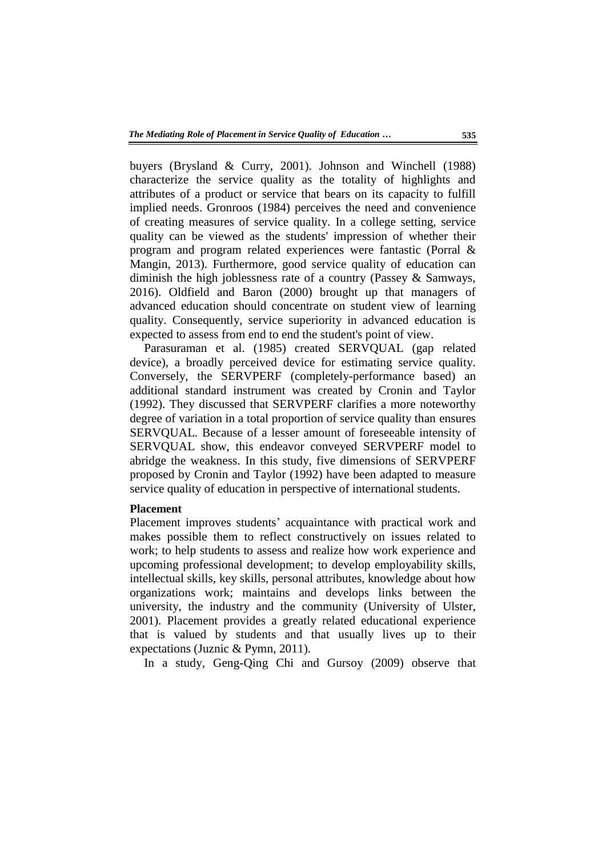buyers (Brysland & Curry, 2001). Johnson and Winchell (1988) characterize the service quality as the totality of highlights and attributes of a product or service that bears on its capacity to fulfill implied needs. Gronroos (1984) perceives the need and convenience of creating measures of service quality. In a college setting, service quality can be viewed as the students' impression of whether their program and program related experiences were fantastic (Porral & Mangin, 2013). Furthermore, good service quality of education can diminish the high joblessness rate of a country (Passey & Samways, 2016). Oldfield and Baron (2000) brought up that managers of advanced education should concentrate on student view of learning quality. Consequently, service superiority in advanced education is expected to assess from end to end the student's point of view.

Parasuraman et al. (1985) created SERVQUAL (gap related device), a broadly perceived device for estimating service quality. Conversely, the SERVPERF (completely-performance based) an additional standard instrument was created by Cronin and Taylor (1992). They discussed that SERVPERF clarifies a more noteworthy degree of variation in a total proportion of service quality than ensures SERVQUAL. Because of a lesser amount of foreseeable intensity of SERVQUAL show, this endeavor conveyed SERVPERF model to abridge the weakness. In this study, five dimensions of SERVPERF proposed by Cronin and Taylor (1992) have been adapted to measure service quality of education in perspective of international students.

### **Placement**

Placement improves students' acquaintance with practical work and makes possible them to reflect constructively on issues related to work; to help students to assess and realize how work experience and upcoming professional development; to develop employability skills, intellectual skills, key skills, personal attributes, knowledge about how organizations work; maintains and develops links between the university, the industry and the community (University of Ulster, 2001). Placement provides a greatly related educational experience that is valued by students and that usually lives up to their expectations (Juznic & Pymn, 2011).

In a study, Geng-Qing Chi and Gursoy (2009) observe that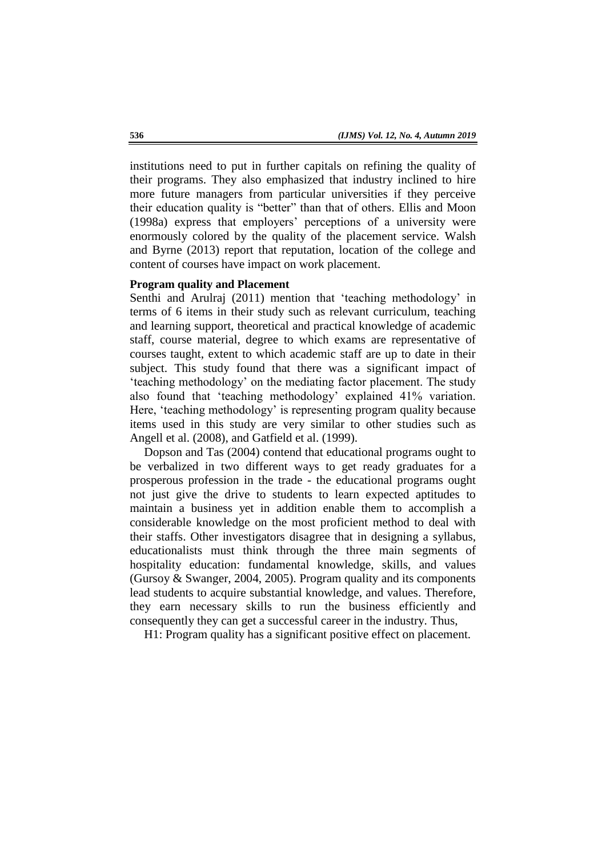institutions need to put in further capitals on refining the quality of their programs. They also emphasized that industry inclined to hire more future managers from particular universities if they perceive their education quality is "better" than that of others. Ellis and Moon (1998a) express that employers" perceptions of a university were enormously colored by the quality of the placement service. Walsh and Byrne (2013) report that reputation, location of the college and content of courses have impact on work placement.

# **Program quality and Placement**

Senthi and Arulraj (2011) mention that 'teaching methodology' in terms of 6 items in their study such as relevant curriculum, teaching and learning support, theoretical and practical knowledge of academic staff, course material, degree to which exams are representative of courses taught, extent to which academic staff are up to date in their subject. This study found that there was a significant impact of "teaching methodology" on the mediating factor placement. The study also found that "teaching methodology" explained 41% variation. Here, 'teaching methodology' is representing program quality because items used in this study are very similar to other studies such as Angell et al. (2008), and Gatfield et al. (1999).

Dopson and Tas (2004) contend that educational programs ought to be verbalized in two different ways to get ready graduates for a prosperous profession in the trade - the educational programs ought not just give the drive to students to learn expected aptitudes to maintain a business yet in addition enable them to accomplish a considerable knowledge on the most proficient method to deal with their staffs. Other investigators disagree that in designing a syllabus, educationalists must think through the three main segments of hospitality education: fundamental knowledge, skills, and values (Gursoy & Swanger, 2004, 2005). Program quality and its components lead students to acquire substantial knowledge, and values. Therefore, they earn necessary skills to run the business efficiently and consequently they can get a successful career in the industry. Thus,

H1: Program quality has a significant positive effect on placement.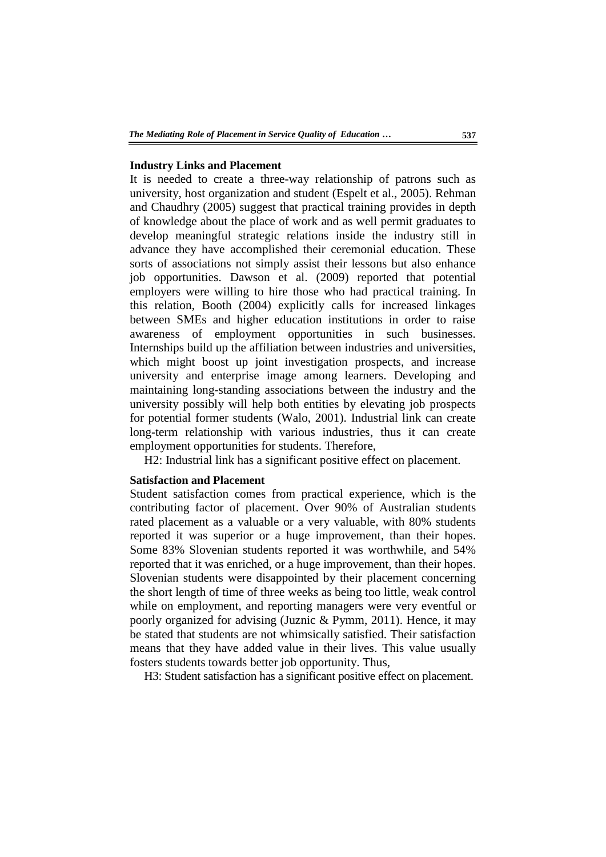#### **Industry Links and Placement**

It is needed to create a three-way relationship of patrons such as university, host organization and student (Espelt et al., 2005). Rehman and Chaudhry (2005) suggest that practical training provides in depth of knowledge about the place of work and as well permit graduates to develop meaningful strategic relations inside the industry still in advance they have accomplished their ceremonial education. These sorts of associations not simply assist their lessons but also enhance job opportunities. Dawson et al. (2009) reported that potential employers were willing to hire those who had practical training. In this relation, Booth (2004) explicitly calls for increased linkages between SMEs and higher education institutions in order to raise awareness of employment opportunities in such businesses. Internships build up the affiliation between industries and universities, which might boost up joint investigation prospects, and increase university and enterprise image among learners. Developing and maintaining long-standing associations between the industry and the university possibly will help both entities by elevating job prospects for potential former students (Walo, 2001). Industrial link can create long-term relationship with various industries, thus it can create employment opportunities for students. Therefore,

H2: Industrial link has a significant positive effect on placement.

#### **Satisfaction and Placement**

Student satisfaction comes from practical experience, which is the contributing factor of placement. Over 90% of Australian students rated placement as a valuable or a very valuable, with 80% students reported it was superior or a huge improvement, than their hopes. Some 83% Slovenian students reported it was worthwhile, and 54% reported that it was enriched, or a huge improvement, than their hopes. Slovenian students were disappointed by their placement concerning the short length of time of three weeks as being too little, weak control while on employment, and reporting managers were very eventful or poorly organized for advising (Juznic & Pymm, 2011). Hence, it may be stated that students are not whimsically satisfied. Their satisfaction means that they have added value in their lives. This value usually fosters students towards better job opportunity. Thus,

H3: Student satisfaction has a significant positive effect on placement.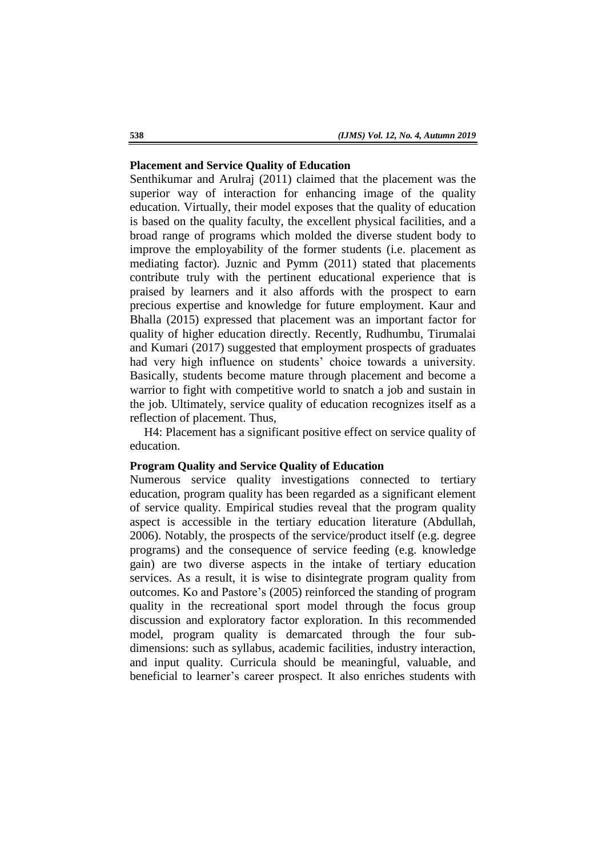# **Placement and Service Quality of Education**

Senthikumar and Arulraj (2011) claimed that the placement was the superior way of interaction for enhancing image of the quality education. Virtually, their model exposes that the quality of education is based on the quality faculty, the excellent physical facilities, and a broad range of programs which molded the diverse student body to improve the employability of the former students (i.e. placement as mediating factor). Juznic and Pymm (2011) stated that placements contribute truly with the pertinent educational experience that is praised by learners and it also affords with the prospect to earn precious expertise and knowledge for future employment. Kaur and Bhalla (2015) expressed that placement was an important factor for quality of higher education directly. Recently, Rudhumbu, Tirumalai and Kumari (2017) suggested that employment prospects of graduates had very high influence on students' choice towards a university. Basically, students become mature through placement and become a warrior to fight with competitive world to snatch a job and sustain in the job. Ultimately, service quality of education recognizes itself as a reflection of placement. Thus,

H4: Placement has a significant positive effect on service quality of education.

#### **Program Quality and Service Quality of Education**

Numerous service quality investigations connected to tertiary education, program quality has been regarded as a significant element of service quality. Empirical studies reveal that the program quality aspect is accessible in the tertiary education literature (Abdullah, 2006). Notably, the prospects of the service/product itself (e.g. degree programs) and the consequence of service feeding (e.g. knowledge gain) are two diverse aspects in the intake of tertiary education services. As a result, it is wise to disintegrate program quality from outcomes. Ko and Pastore"s (2005) reinforced the standing of program quality in the recreational sport model through the focus group discussion and exploratory factor exploration. In this recommended model, program quality is demarcated through the four subdimensions: such as syllabus, academic facilities, industry interaction, and input quality. Curricula should be meaningful, valuable, and beneficial to learner"s career prospect. It also enriches students with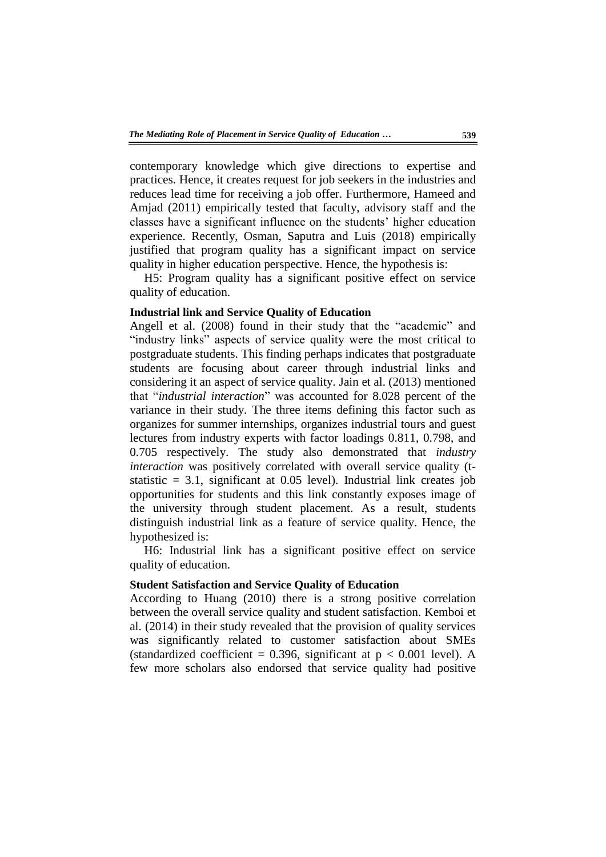contemporary knowledge which give directions to expertise and practices. Hence, it creates request for job seekers in the industries and reduces lead time for receiving a job offer. Furthermore, Hameed and Amjad (2011) empirically tested that faculty, advisory staff and the classes have a significant influence on the students" higher education experience. Recently, Osman, Saputra and Luis (2018) empirically justified that program quality has a significant impact on service quality in higher education perspective. Hence, the hypothesis is:

H5: Program quality has a significant positive effect on service quality of education.

# **Industrial link and Service Quality of Education**

Angell et al. (2008) found in their study that the "academic" and "industry links" aspects of service quality were the most critical to postgraduate students. This finding perhaps indicates that postgraduate students are focusing about career through industrial links and considering it an aspect of service quality. Jain et al. (2013) mentioned that "*industrial interaction*" was accounted for 8.028 percent of the variance in their study. The three items defining this factor such as organizes for summer internships, organizes industrial tours and guest lectures from industry experts with factor loadings 0.811, 0.798, and 0.705 respectively. The study also demonstrated that *industry interaction* was positively correlated with overall service quality (tstatistic  $= 3.1$ , significant at 0.05 level). Industrial link creates job opportunities for students and this link constantly exposes image of the university through student placement. As a result, students distinguish industrial link as a feature of service quality. Hence, the hypothesized is:

H6: Industrial link has a significant positive effect on service quality of education.

# **Student Satisfaction and Service Quality of Education**

According to Huang (2010) there is a strong positive correlation between the overall service quality and student satisfaction. Kemboi et al. (2014) in their study revealed that the provision of quality services was significantly related to customer satisfaction about SMEs (standardized coefficient = 0.396, significant at  $p < 0.001$  level). A few more scholars also endorsed that service quality had positive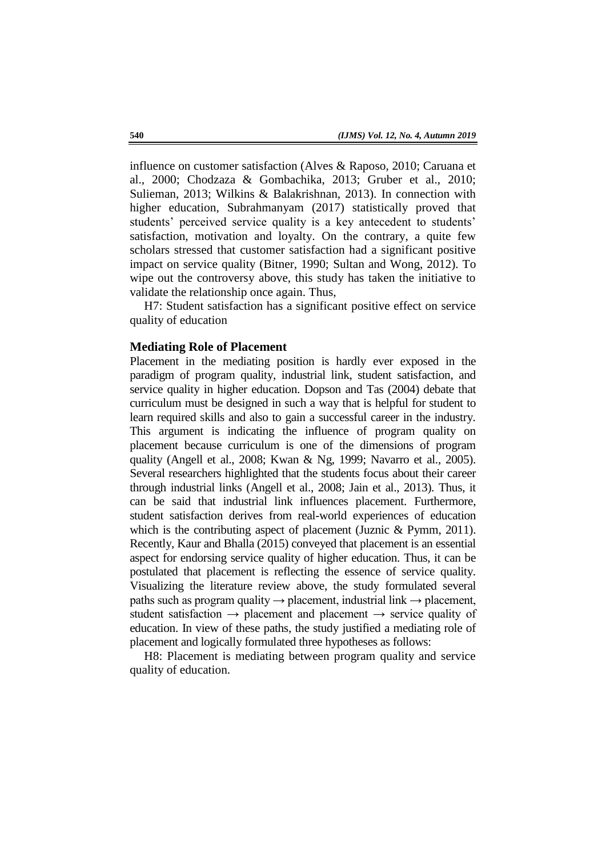influence on customer satisfaction (Alves & Raposo, 2010; Caruana et al., 2000; Chodzaza & Gombachika, 2013; Gruber et al., 2010; Sulieman, 2013; Wilkins & Balakrishnan, 2013). In connection with higher education, Subrahmanyam (2017) statistically proved that students' perceived service quality is a key antecedent to students' satisfaction, motivation and loyalty. On the contrary, a quite few scholars stressed that customer satisfaction had a significant positive impact on service quality (Bitner, 1990; Sultan and Wong, 2012). To wipe out the controversy above, this study has taken the initiative to validate the relationship once again. Thus,

H7: Student satisfaction has a significant positive effect on service quality of education

#### **Mediating Role of Placement**

Placement in the mediating position is hardly ever exposed in the paradigm of program quality, industrial link, student satisfaction, and service quality in higher education. Dopson and Tas (2004) debate that curriculum must be designed in such a way that is helpful for student to learn required skills and also to gain a successful career in the industry. This argument is indicating the influence of program quality on placement because curriculum is one of the dimensions of program quality (Angell et al., 2008; Kwan & Ng, 1999; Navarro et al., 2005). Several researchers highlighted that the students focus about their career through industrial links (Angell et al., 2008; Jain et al., 2013). Thus, it can be said that industrial link influences placement. Furthermore, student satisfaction derives from real-world experiences of education which is the contributing aspect of placement (Juznic & Pymm, 2011). Recently, Kaur and Bhalla (2015) conveyed that placement is an essential aspect for endorsing service quality of higher education. Thus, it can be postulated that placement is reflecting the essence of service quality. Visualizing the literature review above, the study formulated several paths such as program quality  $\rightarrow$  placement, industrial link  $\rightarrow$  placement, student satisfaction  $\rightarrow$  placement and placement  $\rightarrow$  service quality of education. In view of these paths, the study justified a mediating role of placement and logically formulated three hypotheses as follows:

H8: Placement is mediating between program quality and service quality of education.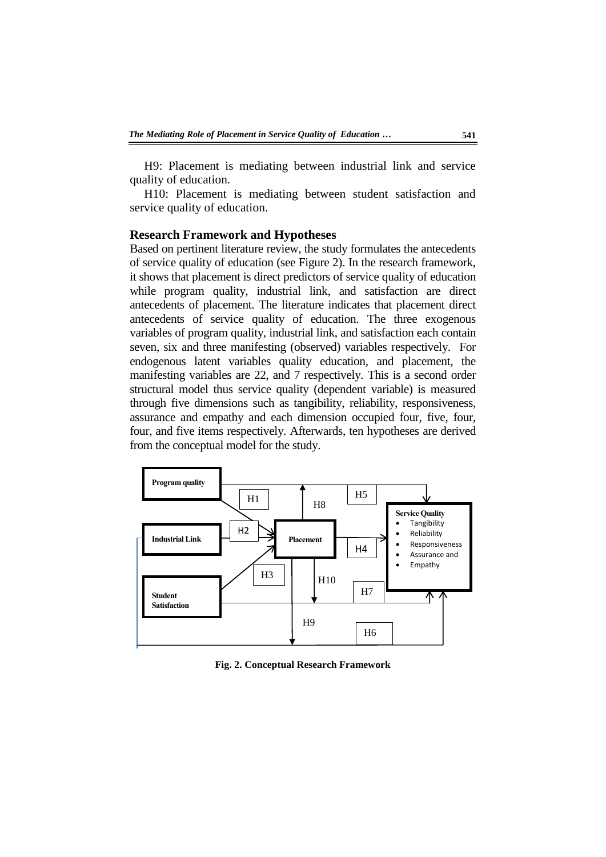H9: Placement is mediating between industrial link and service quality of education.

H10: Placement is mediating between student satisfaction and service quality of education.

#### **Research Framework and Hypotheses**

Based on pertinent literature review, the study formulates the antecedents of service quality of education (see Figure 2). In the research framework, it shows that placement is direct predictors of service quality of education while program quality, industrial link, and satisfaction are direct antecedents of placement. The literature indicates that placement direct antecedents of service quality of education. The three exogenous variables of program quality, industrial link, and satisfaction each contain seven, six and three manifesting (observed) variables respectively. For endogenous latent variables quality education, and placement, the manifesting variables are 22, and 7 respectively. This is a second order structural model thus service quality (dependent variable) is measured through five dimensions such as tangibility, reliability, responsiveness, assurance and empathy and each dimension occupied four, five, four, four, and five items respectively. Afterwards, ten hypotheses are derived from the conceptual model for the study.



**Fig. 2. Conceptual Research Framework**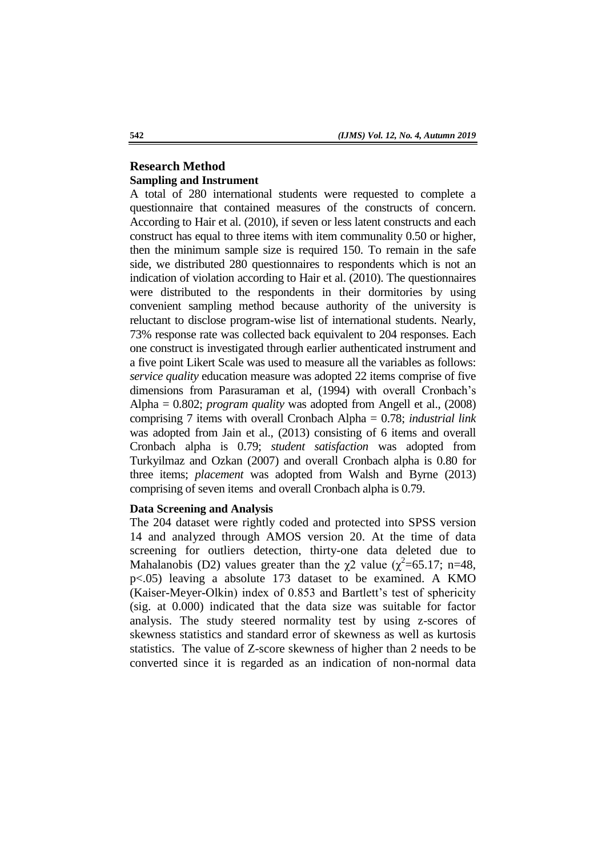# **Research Method Sampling and Instrument**

A total of 280 international students were requested to complete a questionnaire that contained measures of the constructs of concern. According to Hair et al. (2010), if seven or less latent constructs and each construct has equal to three items with item communality 0.50 or higher, then the minimum sample size is required 150. To remain in the safe side, we distributed 280 questionnaires to respondents which is not an indication of violation according to Hair et al. (2010). The questionnaires were distributed to the respondents in their dormitories by using convenient sampling method because authority of the university is reluctant to disclose program-wise list of international students. Nearly, 73% response rate was collected back equivalent to 204 responses. Each one construct is investigated through earlier authenticated instrument and a five point Likert Scale was used to measure all the variables as follows: *service quality* education measure was adopted 22 items comprise of five dimensions from Parasuraman et al, (1994) with overall Cronbach's Alpha = 0.802; *program quality* was adopted from Angell et al., (2008) comprising 7 items with overall Cronbach Alpha = 0.78; *industrial link* was adopted from Jain et al., (2013) consisting of 6 items and overall Cronbach alpha is 0.79; *student satisfaction* was adopted from Turkyilmaz and Ozkan (2007) and overall Cronbach alpha is 0.80 for three items; *placement* was adopted from Walsh and Byrne (2013) comprising of seven items and overall Cronbach alpha is 0.79.

# **Data Screening and Analysis**

The 204 dataset were rightly coded and protected into SPSS version 14 and analyzed through AMOS version 20. At the time of data screening for outliers detection, thirty-one data deleted due to Mahalanobis (D2) values greater than the  $\chi$ 2 value ( $\chi^2$ =65.17; n=48, p<.05) leaving a absolute 173 dataset to be examined. A KMO (Kaiser-Meyer-Olkin) index of 0.853 and Bartlett"s test of sphericity (sig. at 0.000) indicated that the data size was suitable for factor analysis. The study steered normality test by using z-scores of skewness statistics and standard error of skewness as well as kurtosis statistics. The value of Z-score skewness of higher than 2 needs to be converted since it is regarded as an indication of non-normal data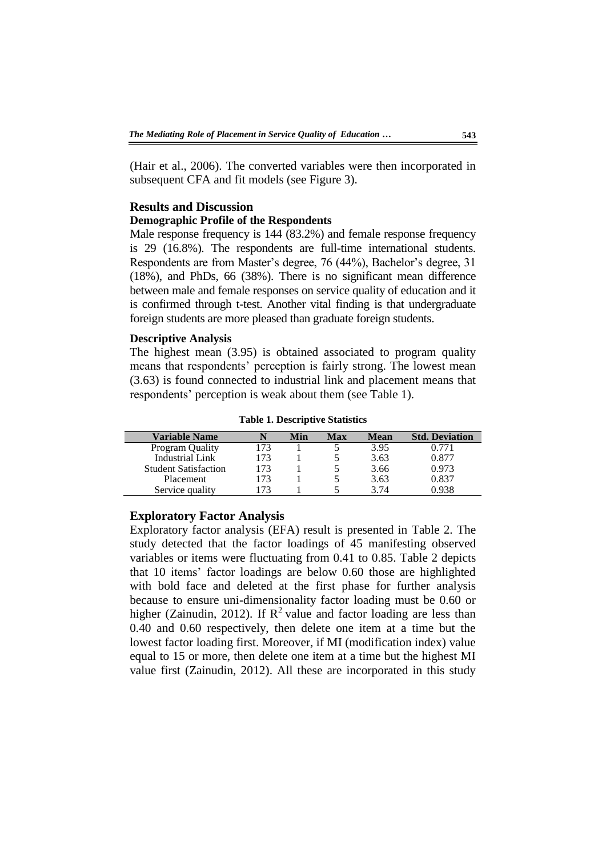(Hair et al., 2006). The converted variables were then incorporated in subsequent CFA and fit models (see Figure 3).

# **Results and Discussion**

### **Demographic Profile of the Respondents**

Male response frequency is 144 (83.2%) and female response frequency is 29 (16.8%). The respondents are full-time international students. Respondents are from Master's degree, 76 (44%), Bachelor's degree, 31 (18%), and PhDs, 66 (38%). There is no significant mean difference between male and female responses on service quality of education and it is confirmed through t-test. Another vital finding is that undergraduate foreign students are more pleased than graduate foreign students.

## **Descriptive Analysis**

The highest mean (3.95) is obtained associated to program quality means that respondents' perception is fairly strong. The lowest mean (3.63) is found connected to industrial link and placement means that respondents' perception is weak about them (see Table 1).

**Table 1. Descriptive Statistics** 

| <b>Variable Name</b>        |     | Min | Max | Mean | <b>Std. Deviation</b> |
|-----------------------------|-----|-----|-----|------|-----------------------|
| Program Quality             |     |     |     | 3.95 | ን.771                 |
| <b>Industrial Link</b>      | 173 |     |     | 3.63 | 0.877                 |
| <b>Student Satisfaction</b> | 173 |     |     | 3.66 | 0.973                 |
| Placement                   | 173 |     |     | 3.63 | 0.837                 |
| Service quality             |     |     |     | 3.74 | 0.938                 |

# **Exploratory Factor Analysis**

Exploratory factor analysis (EFA) result is presented in Table 2. The study detected that the factor loadings of 45 manifesting observed variables or items were fluctuating from 0.41 to 0.85. Table 2 depicts that 10 items" factor loadings are below 0.60 those are highlighted with bold face and deleted at the first phase for further analysis because to ensure uni-dimensionality factor loading must be 0.60 or higher (Zainudin, 2012). If  $R^2$  value and factor loading are less than 0.40 and 0.60 respectively, then delete one item at a time but the lowest factor loading first. Moreover, if MI (modification index) value equal to 15 or more, then delete one item at a time but the highest MI value first (Zainudin, 2012). All these are incorporated in this study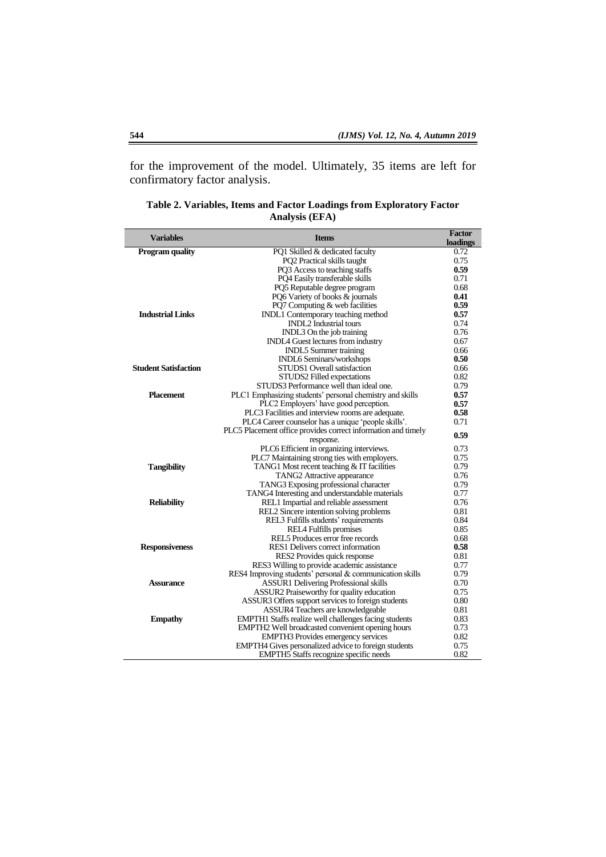for the improvement of the model. Ultimately, 35 items are left for confirmatory factor analysis.

| <b>Variables</b>            | <b>Items</b>                                                                                                         | <b>Factor</b><br>loadings |
|-----------------------------|----------------------------------------------------------------------------------------------------------------------|---------------------------|
| <b>Program quality</b>      | PQ1 Skilled & dedicated faculty                                                                                      | 0.72                      |
|                             | PQ2 Practical skills taught                                                                                          | 0.75                      |
|                             | PQ3 Access to teaching staffs                                                                                        | 0.59                      |
|                             | PO4 Easily transferable skills                                                                                       | 0.71                      |
|                             | PQ5 Reputable degree program                                                                                         | 0.68                      |
|                             | PQ6 Variety of books & journals                                                                                      | 0.41                      |
|                             | PQ7 Computing & web facilities                                                                                       | 0.59                      |
| <b>Industrial Links</b>     | INDL1 Contemporary teaching method                                                                                   | 0.57                      |
|                             | <b>INDL2</b> Industrial tours                                                                                        | 0.74                      |
|                             | INDL3 On the job training                                                                                            | 0.76                      |
|                             | INDL4 Guest lectures from industry                                                                                   | 0.67                      |
|                             | INDL5 Summer training                                                                                                | 0.66                      |
|                             | <b>INDL6 Seminars/workshops</b>                                                                                      | 0.50                      |
| <b>Student Satisfaction</b> | STUDS1 Overall satisfaction                                                                                          | 0.66                      |
|                             | STUDS2 Filled expectations                                                                                           | 0.82                      |
|                             | STUDS3 Performance well than ideal one.                                                                              | 0.79                      |
| <b>Placement</b>            | PLC1 Emphasizing students' personal chemistry and skills                                                             | 0.57                      |
|                             | PLC2 Employers' have good perception.                                                                                | 0.57<br>0.58              |
|                             | PLC3 Facilities and interview rooms are adequate.                                                                    | 0.71                      |
|                             | PLC4 Career counselor has a unique 'people skills'.<br>PLC5 Placement office provides correct information and timely |                           |
|                             | response.                                                                                                            | 0.59                      |
|                             | PLC6 Efficient in organizing interviews.                                                                             | 0.73                      |
|                             | PLC7 Maintaining strong ties with employers.                                                                         | 0.75                      |
| <b>Tangibility</b>          | TANG1 Most recent teaching & IT facilities                                                                           | 0.79                      |
|                             | TANG2 Attractive appearance                                                                                          | 0.76                      |
|                             | TANG3 Exposing professional character                                                                                | 0.79                      |
|                             | TANG4 Interesting and understandable materials                                                                       | 0.77                      |
| <b>Reliability</b>          | REL1 Impartial and reliable assessment                                                                               | 0.76                      |
|                             | REL2 Sincere intention solving problems                                                                              | 0.81                      |
|                             | REL3 Fulfills students' requirements                                                                                 | 0.84                      |
|                             | REL4 Fulfills promises                                                                                               | 0.85                      |
|                             | REL5 Produces error free records                                                                                     | 0.68                      |
| <b>Responsiveness</b>       | RES1 Delivers correct information                                                                                    | 0.58                      |
|                             | RES2 Provides quick response                                                                                         | 0.81                      |
|                             | RES3 Willing to provide academic assistance                                                                          | 0.77                      |
|                             | RES4 Improving students' personal & communication skills                                                             | 0.79                      |
| Assurance                   | <b>ASSUR1</b> Delivering Professional skills                                                                         | 0.70                      |
|                             | ASSUR2 Praiseworthy for quality education                                                                            | 0.75                      |
|                             | ASSUR3 Offers support services to foreign students                                                                   | 0.80                      |
|                             | ASSUR4 Teachers are knowledgeable                                                                                    | 0.81                      |
| <b>Empathy</b>              | EMPTH1 Staffs realize well challenges facing students                                                                | 0.83                      |
|                             | EMPTH2 Well broadcasted convenient opening hours                                                                     | 0.73<br>0.82              |
|                             | EMPTH3 Provides emergency services                                                                                   |                           |
|                             | EMPTH4 Gives personalized advice to foreign students                                                                 | 0.75                      |
|                             | <b>EMPTH5</b> Staffs recognize specific needs                                                                        | 0.82                      |

**Table 2. Variables, Items and Factor Loadings from Exploratory Factor Analysis (EFA)**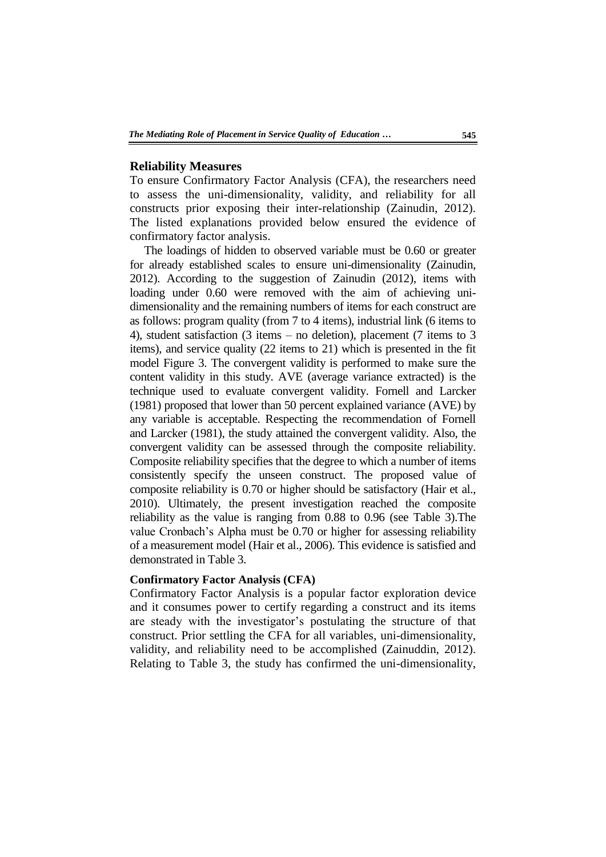#### **Reliability Measures**

To ensure Confirmatory Factor Analysis (CFA), the researchers need to assess the uni-dimensionality, validity, and reliability for all constructs prior exposing their inter-relationship (Zainudin, 2012). The listed explanations provided below ensured the evidence of confirmatory factor analysis.

The loadings of hidden to observed variable must be 0.60 or greater for already established scales to ensure uni-dimensionality (Zainudin, 2012). According to the suggestion of Zainudin (2012), items with loading under 0.60 were removed with the aim of achieving unidimensionality and the remaining numbers of items for each construct are as follows: program quality (from 7 to 4 items), industrial link (6 items to 4), student satisfaction (3 items – no deletion), placement (7 items to 3 items), and service quality (22 items to 21) which is presented in the fit model Figure 3. The convergent validity is performed to make sure the content validity in this study. AVE (average variance extracted) is the technique used to evaluate convergent validity. Fornell and Larcker (1981) proposed that lower than 50 percent explained variance (AVE) by any variable is acceptable. Respecting the recommendation of Fornell and Larcker (1981), the study attained the convergent validity. Also, the convergent validity can be assessed through the composite reliability. Composite reliability specifies that the degree to which a number of items consistently specify the unseen construct. The proposed value of composite reliability is 0.70 or higher should be satisfactory (Hair et al., 2010). Ultimately, the present investigation reached the composite reliability as the value is ranging from 0.88 to 0.96 (see Table 3).The value Cronbach"s Alpha must be 0.70 or higher for assessing reliability of a measurement model (Hair et al., 2006). This evidence is satisfied and demonstrated in Table 3.

#### **Confirmatory Factor Analysis (CFA)**

Confirmatory Factor Analysis is a popular factor exploration device and it consumes power to certify regarding a construct and its items are steady with the investigator's postulating the structure of that construct. Prior settling the CFA for all variables, uni-dimensionality, validity, and reliability need to be accomplished (Zainuddin, 2012). Relating to Table 3, the study has confirmed the uni-dimensionality,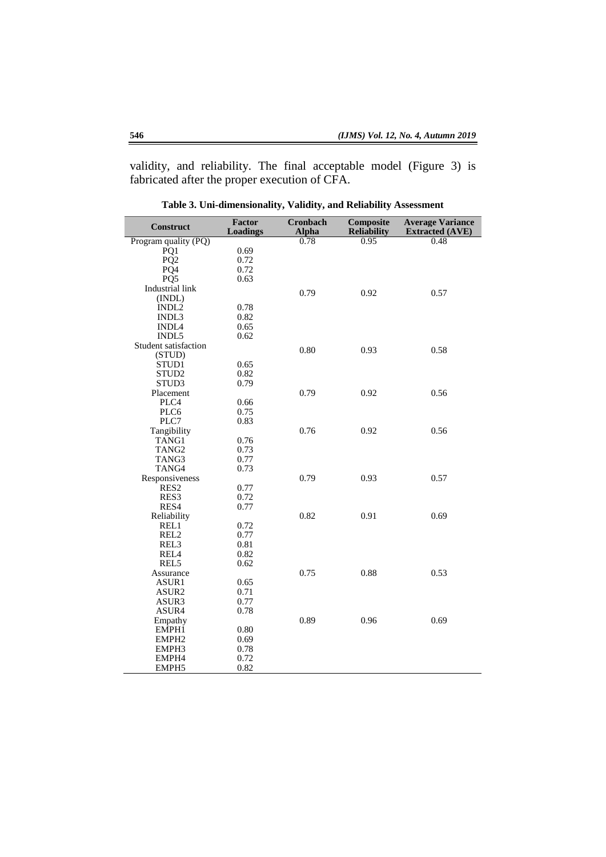validity, and reliability. The final acceptable model (Figure 3) is fabricated after the proper execution of CFA.

| <b>Construct</b>     | Factor<br><b>Loadings</b> | <b>Cronbach</b><br>Alpha | Composite<br><b>Reliability</b> | <b>Average Variance</b><br><b>Extracted (AVE)</b> |
|----------------------|---------------------------|--------------------------|---------------------------------|---------------------------------------------------|
| Program quality (PQ) |                           | 0.78                     | 0.95                            | 0.48                                              |
| PQ1                  | 0.69                      |                          |                                 |                                                   |
| PQ <sub>2</sub>      | 0.72                      |                          |                                 |                                                   |
| PQ4                  | 0.72                      |                          |                                 |                                                   |
| PQ <sub>5</sub>      | 0.63                      |                          |                                 |                                                   |
| Industrial link      |                           | 0.79                     | 0.92                            | 0.57                                              |
| (INDL)               |                           |                          |                                 |                                                   |
| INDL2                | 0.78                      |                          |                                 |                                                   |
| INDL3                | 0.82                      |                          |                                 |                                                   |
| INDL <sub>4</sub>    | 0.65                      |                          |                                 |                                                   |
| INDL5                | 0.62                      |                          |                                 |                                                   |
| Student satisfaction |                           | 0.80                     | 0.93                            | 0.58                                              |
| (STUD)               |                           |                          |                                 |                                                   |
| STUD1                | 0.65                      |                          |                                 |                                                   |
| STUD <sub>2</sub>    | 0.82                      |                          |                                 |                                                   |
| STUD3                | 0.79                      |                          |                                 |                                                   |
| Placement            |                           | 0.79                     | 0.92                            | 0.56                                              |
| PLC4                 | 0.66                      |                          |                                 |                                                   |
| PLC <sub>6</sub>     | 0.75                      |                          |                                 |                                                   |
| PLC7                 | 0.83                      |                          |                                 |                                                   |
| Tangibility          |                           | 0.76                     | 0.92                            | 0.56                                              |
| TANG1                | 0.76                      |                          |                                 |                                                   |
| TANG <sub>2</sub>    | 0.73                      |                          |                                 |                                                   |
| TANG3                | 0.77                      |                          |                                 |                                                   |
| TANG4                | 0.73                      |                          |                                 |                                                   |
| Responsiveness       |                           | 0.79                     | 0.93                            | 0.57                                              |
| RES <sub>2</sub>     | 0.77                      |                          |                                 |                                                   |
| RES <sub>3</sub>     | 0.72                      |                          |                                 |                                                   |
| RES4                 | 0.77                      |                          |                                 |                                                   |
| Reliability          |                           | 0.82                     | 0.91                            | 0.69                                              |
| REL1                 | 0.72                      |                          |                                 |                                                   |
| REL2                 | 0.77                      |                          |                                 |                                                   |
| REL3                 | 0.81                      |                          |                                 |                                                   |
| REL <sub>4</sub>     | 0.82                      |                          |                                 |                                                   |
| REL5                 | 0.62                      |                          |                                 |                                                   |
| Assurance            |                           | 0.75                     | 0.88                            | 0.53                                              |
| ASUR1                | 0.65                      |                          |                                 |                                                   |
| ASUR <sub>2</sub>    | 0.71                      |                          |                                 |                                                   |
| ASUR3                | 0.77                      |                          |                                 |                                                   |
| ASUR4                | 0.78                      |                          |                                 |                                                   |
| Empathy              |                           | 0.89                     | 0.96                            | 0.69                                              |
| EMPH1                | 0.80                      |                          |                                 |                                                   |
| EMPH <sub>2</sub>    | 0.69                      |                          |                                 |                                                   |
| EMPH3                | 0.78                      |                          |                                 |                                                   |
| EMPH4                | 0.72                      |                          |                                 |                                                   |
| EMPH5                | 0.82                      |                          |                                 |                                                   |

**Table 3. Uni-dimensionality, Validity, and Reliability Assessment**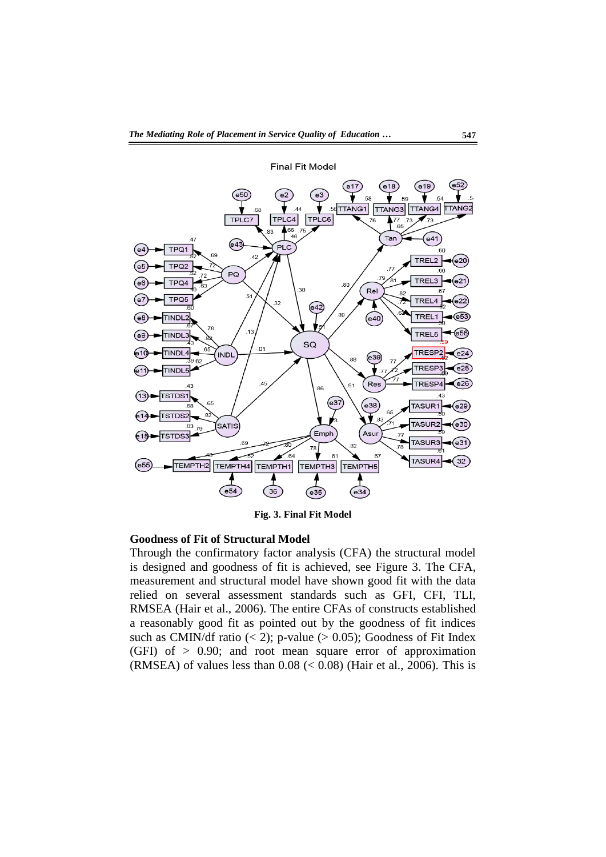

**Fig. 3. Final Fit Model** 

#### **Goodness of Fit of Structural Model**

Through the confirmatory factor analysis (CFA) the structural model is designed and goodness of fit is achieved, see Figure 3. The CFA, measurement and structural model have shown good fit with the data relied on several assessment standards such as GFI, CFI, TLI, RMSEA (Hair et al., 2006). The entire CFAs of constructs established a reasonably good fit as pointed out by the goodness of fit indices such as CMIN/df ratio  $(< 2)$ ; p-value  $(> 0.05)$ ; Goodness of Fit Index (GFI) of  $> 0.90$ ; and root mean square error of approximation (RMSEA) of values less than  $0.08 \, \text{(} 0.08) \, \text{(Hair et al., 2006)}.$  This is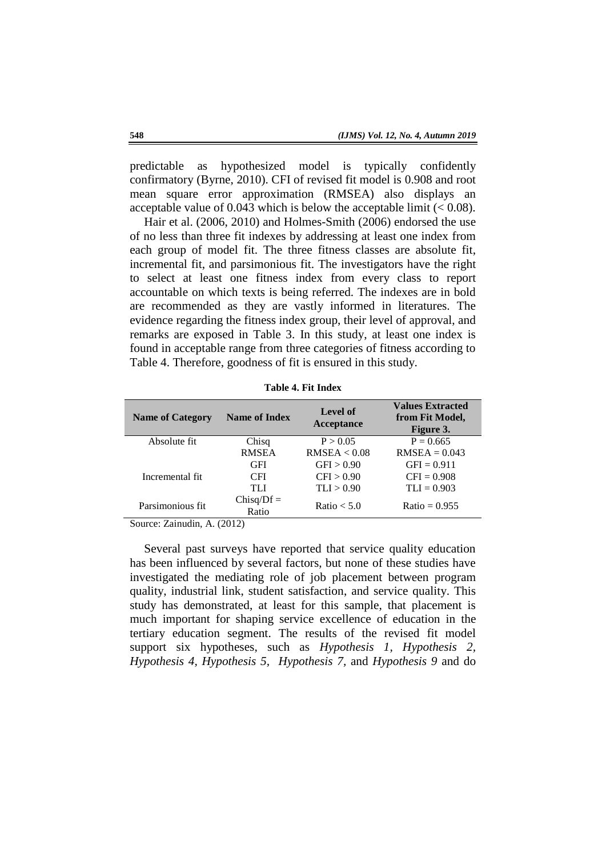predictable as hypothesized model is typically confidently confirmatory (Byrne, 2010). CFI of revised fit model is 0.908 and root mean square error approximation (RMSEA) also displays an acceptable value of 0.043 which is below the acceptable limit  $(< 0.08)$ .

Hair et al. (2006, 2010) and Holmes-Smith (2006) endorsed the use of no less than three fit indexes by addressing at least one index from each group of model fit. The three fitness classes are absolute fit, incremental fit, and parsimonious fit. The investigators have the right to select at least one fitness index from every class to report accountable on which texts is being referred. The indexes are in bold are recommended as they are vastly informed in literatures. The evidence regarding the fitness index group, their level of approval, and remarks are exposed in Table 3. In this study, at least one index is found in acceptable range from three categories of fitness according to Table 4. Therefore, goodness of fit is ensured in this study.

| <b>Name of Category</b> | <b>Name of Index</b>  | <b>Level of</b><br>Acceptance | <b>Values Extracted</b><br>from Fit Model,<br>Figure 3. |  |
|-------------------------|-----------------------|-------------------------------|---------------------------------------------------------|--|
| Absolute fit            | Chisq                 | P > 0.05                      | $P = 0.665$                                             |  |
|                         | <b>RMSEA</b>          | RMSEA < 0.08                  | $RMSEA = 0.043$                                         |  |
|                         | <b>GFI</b>            | GFI > 0.90                    | $GFI = 0.911$                                           |  |
| Incremental fit         | <b>CFI</b>            | CFI > 0.90                    | $CFI = 0.908$                                           |  |
|                         | TH                    | TLI > 0.90                    | $TLI = 0.903$                                           |  |
| Parsimonious fit        | $Chisq/Df =$<br>Ratio | Ratio $< 5.0$                 | Ratio = $0.955$                                         |  |

**Table 4. Fit Index** 

Source: Zainudin, A. (2012)

Several past surveys have reported that service quality education has been influenced by several factors, but none of these studies have investigated the mediating role of job placement between program quality, industrial link, student satisfaction, and service quality. This study has demonstrated, at least for this sample, that placement is much important for shaping service excellence of education in the tertiary education segment. The results of the revised fit model support six hypotheses, such as *Hypothesis 1, Hypothesis 2, Hypothesis 4, Hypothesis 5, Hypothesis 7,* and *Hypothesis 9* and do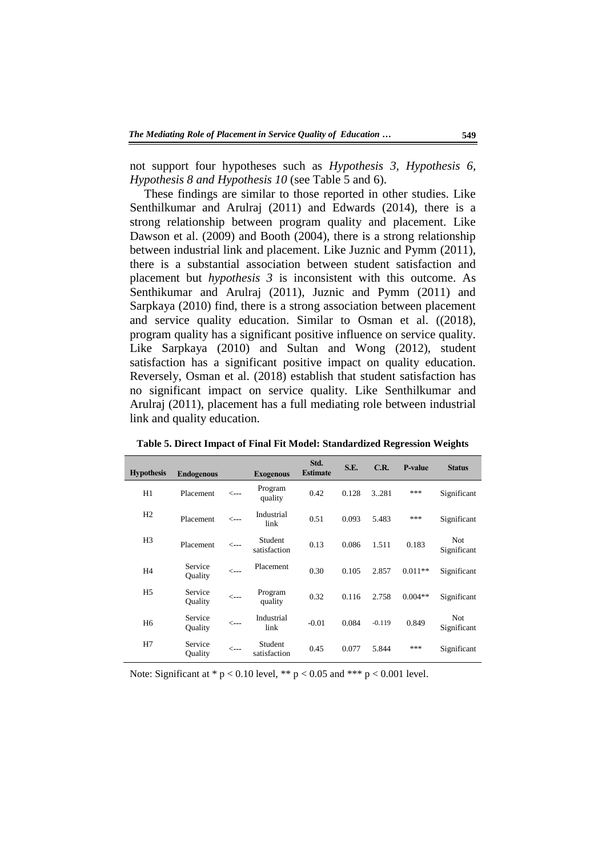not support four hypotheses such as *Hypothesis 3, Hypothesis 6, Hypothesis 8 and Hypothesis 10* (see Table 5 and 6).

These findings are similar to those reported in other studies. Like Senthilkumar and Arulraj (2011) and Edwards (2014), there is a strong relationship between program quality and placement. Like Dawson et al. (2009) and Booth (2004), there is a strong relationship between industrial link and placement. Like Juznic and Pymm (2011), there is a substantial association between student satisfaction and placement but *hypothesis 3* is inconsistent with this outcome. As Senthikumar and Arulraj (2011), Juznic and Pymm (2011) and Sarpkaya (2010) find, there is a strong association between placement and service quality education. Similar to Osman et al. ((2018), program quality has a significant positive influence on service quality. Like Sarpkaya (2010) and Sultan and Wong (2012), student satisfaction has a significant positive impact on quality education. Reversely, Osman et al. (2018) establish that student satisfaction has no significant impact on service quality. Like Senthilkumar and Arulraj (2011), placement has a full mediating role between industrial link and quality education.

| <b>Hypothesis</b> | <b>Endogenous</b>  |                 | <b>Exogenous</b>        | Std.<br><b>Estimate</b> | S.E.  | C.R.     | <b>P-value</b> | <b>Status</b>             |
|-------------------|--------------------|-----------------|-------------------------|-------------------------|-------|----------|----------------|---------------------------|
| H1                | Placement          | <---            | Program<br>quality      | 0.42                    | 0.128 | 3.281    | ***            | Significant               |
| H2                | Placement          | $\leftarrow$ -- | Industrial<br>link      | 0.51                    | 0.093 | 5.483    | ***            | Significant               |
| H <sub>3</sub>    | Placement          | <---            | Student<br>satisfaction | 0.13                    | 0.086 | 1.511    | 0.183          | <b>Not</b><br>Significant |
| H <sub>4</sub>    | Service<br>Ouality | $\leftarrow$ -- | Placement               | 0.30                    | 0.105 | 2.857    | $0.011**$      | Significant               |
| H <sub>5</sub>    | Service<br>Ouality | $\leftarrow$ -- | Program<br>quality      | 0.32                    | 0.116 | 2.758    | $0.004**$      | Significant               |
| H <sub>6</sub>    | Service<br>Ouality | $\leftarrow$ -- | Industrial<br>link      | $-0.01$                 | 0.084 | $-0.119$ | 0.849          | <b>Not</b><br>Significant |
| H7                | Service<br>Quality | <---            | Student<br>satisfaction | 0.45                    | 0.077 | 5.844    | ***            | Significant               |

**Table 5. Direct Impact of Final Fit Model: Standardized Regression Weights** 

Note: Significant at  $* p < 0.10$  level,  $** p < 0.05$  and  $*** p < 0.001$  level.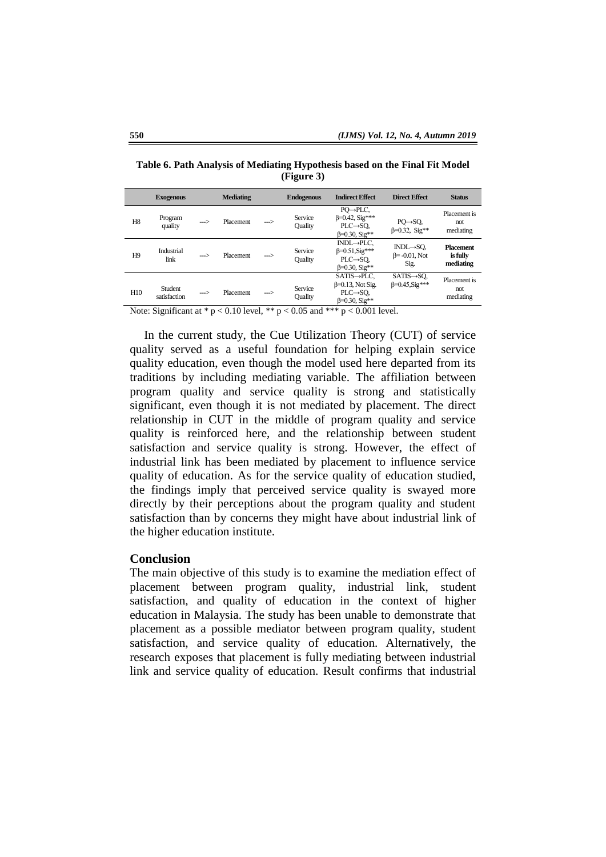|                | <b>Exogenous</b>        |      | <b>Mediating</b> |     | <b>Endogenous</b>  | <b>Indirect Effect</b>                                                                                          | <b>Direct Effect</b>                                  | <b>Status</b>                             |
|----------------|-------------------------|------|------------------|-----|--------------------|-----------------------------------------------------------------------------------------------------------------|-------------------------------------------------------|-------------------------------------------|
| H <sub>8</sub> | Program<br>quality      | ---> | <b>Placement</b> | --> | Service<br>Ouality | $PO \rightarrow P LC$ ,<br>$\beta = 0.42$ , Sig***<br>$PLC \rightarrow SO$ ,<br>$\beta = 0.30$ , Sig**          | $PO \rightarrow SO$ ,<br>$\beta = 0.32$ , Sig**       | Placement is<br>not<br>mediating          |
| H <sub>9</sub> | Industrial<br>link      | -->  | <b>Placement</b> | --> | Service<br>Ouality | $INDL \rightarrow PLC$ ,<br>$\beta = 0.51$ , $\text{Sig}$ ***<br>$PLC \rightarrow SO$<br>$\beta = 0.30$ , Sig** | $INDL \rightarrow SO$<br>$\beta$ = -0.01, Not<br>Sig. | <b>Placement</b><br>is fully<br>mediating |
| H10            | Student<br>satisfaction | -->  | <b>Placement</b> | --> | Service<br>Quality | $SATIS \rightarrow P LC$ ,<br>$\beta$ =0.13, Not Sig.<br>$PLC \rightarrow SO$ ,<br>$\beta = 0.30$ , Sig**       | $SATIS \rightarrow SQ$ ,<br>$\beta = 0.45$ , Sig***   | Placement is<br>not<br>mediating          |

**Table 6. Path Analysis of Mediating Hypothesis based on the Final Fit Model (Figure 3)**

Note: Significant at  $* p < 0.10$  level,  $** p < 0.05$  and  $*** p < 0.001$  level.

In the current study, the Cue Utilization Theory (CUT) of service quality served as a useful foundation for helping explain service quality education, even though the model used here departed from its traditions by including mediating variable. The affiliation between program quality and service quality is strong and statistically significant, even though it is not mediated by placement. The direct relationship in CUT in the middle of program quality and service quality is reinforced here, and the relationship between student satisfaction and service quality is strong. However, the effect of industrial link has been mediated by placement to influence service quality of education. As for the service quality of education studied, the findings imply that perceived service quality is swayed more directly by their perceptions about the program quality and student satisfaction than by concerns they might have about industrial link of the higher education institute.

#### **Conclusion**

The main objective of this study is to examine the mediation effect of placement between program quality, industrial link, student satisfaction, and quality of education in the context of higher education in Malaysia. The study has been unable to demonstrate that placement as a possible mediator between program quality, student satisfaction, and service quality of education. Alternatively, the research exposes that placement is fully mediating between industrial link and service quality of education. Result confirms that industrial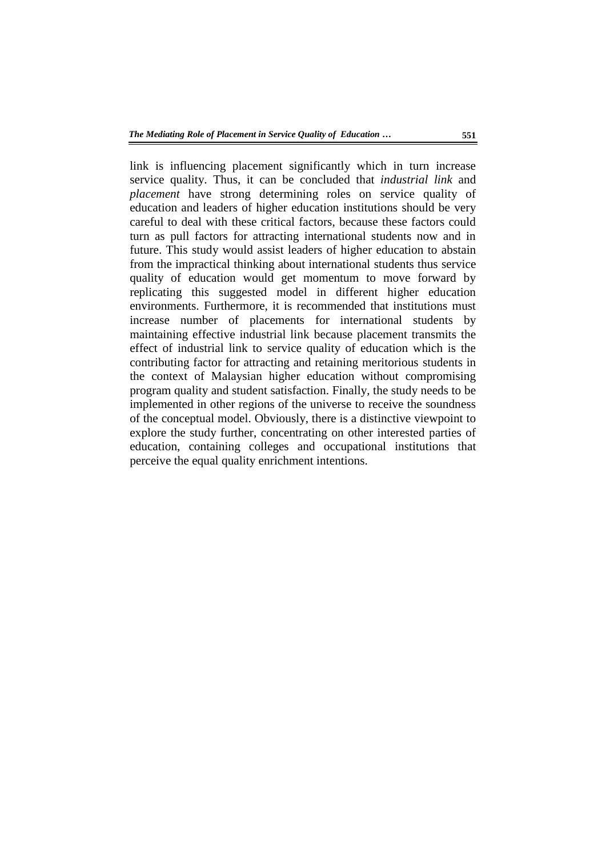link is influencing placement significantly which in turn increase service quality. Thus, it can be concluded that *industrial link* and *placement* have strong determining roles on service quality of education and leaders of higher education institutions should be very careful to deal with these critical factors, because these factors could turn as pull factors for attracting international students now and in future. This study would assist leaders of higher education to abstain from the impractical thinking about international students thus service quality of education would get momentum to move forward by replicating this suggested model in different higher education environments. Furthermore, it is recommended that institutions must increase number of placements for international students by maintaining effective industrial link because placement transmits the effect of industrial link to service quality of education which is the contributing factor for attracting and retaining meritorious students in the context of Malaysian higher education without compromising program quality and student satisfaction. Finally, the study needs to be implemented in other regions of the universe to receive the soundness of the conceptual model. Obviously, there is a distinctive viewpoint to explore the study further, concentrating on other interested parties of education, containing colleges and occupational institutions that perceive the equal quality enrichment intentions.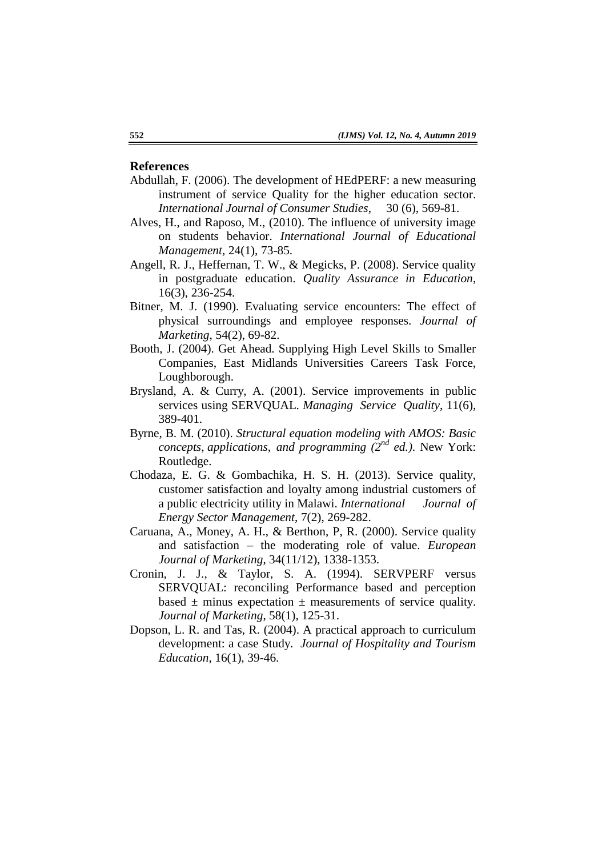# **References**

- Abdullah, F. (2006). The development of HEdPERF: a new measuring instrument of service Quality for the higher education sector. *International Journal of Consumer Studies*, 30 (6), 569-81.
- Alves, H., and Raposo, M., (2010). The influence of university image on students behavior. *International Journal of Educational Management*, 24(1), 73-85.
- Angell, R. J., Heffernan, T. W., & Megicks, P. (2008). Service quality in postgraduate education. *Quality Assurance in Education*, 16(3), 236-254.
- Bitner, M. J. (1990). Evaluating service encounters: The effect of physical surroundings and employee responses. *Journal of Marketing*, 54(2), 69-82.
- Booth, J. (2004). Get Ahead. Supplying High Level Skills to Smaller Companies, East Midlands Universities Careers Task Force, Loughborough.
- Brysland, A. & Curry, A. (2001). Service improvements in public services using SERVQUAL. *Managing Service Quality*, 11(6), 389-401.
- Byrne, B. M. (2010). *Structural equation modeling with AMOS: Basic concepts, applications, and programming (2nd ed.)*. New York: Routledge.
- Chodaza, E. G. & Gombachika, H. S. H. (2013). Service quality, customer satisfaction and loyalty among industrial customers of a public electricity utility in Malawi. *International Journal of Energy Sector Management*, 7(2), 269-282.
- Caruana, A., Money, A. H., & Berthon, P, R. (2000). Service quality and satisfaction – the moderating role of value. *European Journal of Marketing*, 34(11/12), 1338-1353.
- Cronin, J. J., & Taylor, S. A. (1994). SERVPERF versus SERVQUAL: reconciling Performance based and perception based  $\pm$  minus expectation  $\pm$  measurements of service quality. *Journal of Marketing*, 58(1), 125-31.
- Dopson, L. R. and Tas, R. (2004). A practical approach to curriculum development: a case Study. *Journal of Hospitality and Tourism Education*, 16(1), 39-46.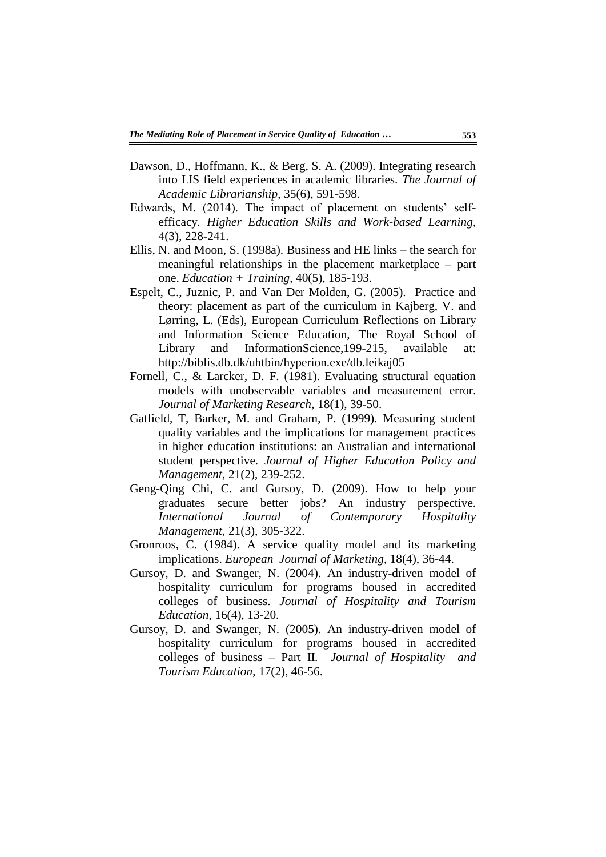- Dawson, D., Hoffmann, K., & Berg, S. A. (2009). Integrating research into LIS field experiences in academic libraries. *The Journal of Academic Librarianship*, 35(6), 591-598.
- Edwards, M. (2014). The impact of placement on students' selfefficacy. *Higher Education Skills and Work-based Learning*, 4(3), 228-241.
- Ellis, N. and Moon, S. (1998a). Business and HE links the search for meaningful relationships in the placement marketplace – part one. *Education + Training*, 40(5), 185-193.
- Espelt, C., Juznic, P. and Van Der Molden, G. (2005). Practice and theory: placement as part of the curriculum in Kajberg, V. and Lørring, L. (Eds), European Curriculum Reflections on Library and Information Science Education, The Royal School of Library and InformationScience,199-215, available at: http://biblis.db.dk/uhtbin/hyperion.exe/db.leikaj05
- Fornell, C., & Larcker, D. F. (1981). Evaluating structural equation models with unobservable variables and measurement error. *Journal of Marketing Research*, 18(1), 39-50.
- Gatfield, T, Barker, M. and Graham, P. (1999). Measuring student quality variables and the implications for management practices in higher education institutions: an Australian and international student perspective. *Journal of Higher Education Policy and Management*, 21(2), 239-252.
- Geng-Qing Chi, C. and Gursoy, D. (2009). How to help your graduates secure better jobs? An industry perspective. *International Journal of Contemporary Hospitality Management*, 21(3), 305-322.
- Gronroos, C. (1984). A service quality model and its marketing implications. *European Journal of Marketing*, 18(4), 36-44.
- Gursoy, D. and Swanger, N. (2004). An industry-driven model of hospitality curriculum for programs housed in accredited colleges of business. *Journal of Hospitality and Tourism Education*, 16(4), 13-20.
- Gursoy, D. and Swanger, N. (2005). An industry-driven model of hospitality curriculum for programs housed in accredited colleges of business – Part II. *Journal of Hospitality and Tourism Education*, 17(2), 46-56.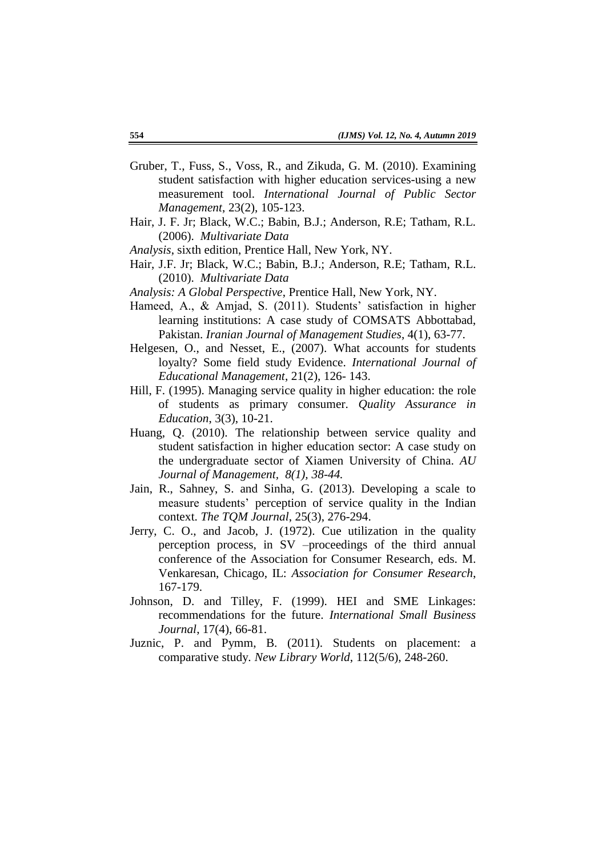- Gruber, T., Fuss, S., Voss, R., and Zikuda, G. M. (2010). Examining student satisfaction with higher education services-using a new measurement tool. *International Journal of Public Sector Management*, 23(2), 105-123.
- Hair, J. F. Jr; Black, W.C.; Babin, B.J.; Anderson, R.E; Tatham, R.L. (2006). *Multivariate Data*
- *Analysis*, sixth edition, Prentice Hall, New York, NY.
- Hair, J.F. Jr; Black, W.C.; Babin, B.J.; Anderson, R.E; Tatham, R.L. (2010). *Multivariate Data*
- *Analysis: A Global Perspective*, Prentice Hall, New York, NY.
- Hameed, A., & Amjad, S. (2011). Students' satisfaction in higher learning institutions: A case study of COMSATS Abbottabad, Pakistan. *Iranian Journal of Management Studies*, 4(1), 63-77.
- Helgesen, O., and Nesset, E., (2007). What accounts for students loyalty? Some field study Evidence. *International Journal of Educational Management*, 21(2), 126- 143.
- Hill, F. (1995). Managing service quality in higher education: the role of students as primary consumer. *Quality Assurance in Education*, 3(3), 10-21.
- Huang, Q. (2010). The relationship between service quality and student satisfaction in higher education sector: A case study on the undergraduate sector of Xiamen University of China. *AU Journal of Management, 8(1), 38-44.*
- Jain, R., Sahney, S. and Sinha, G. (2013). Developing a scale to measure students" perception of service quality in the Indian context. *The TQM Journal*, 25(3), 276-294.
- Jerry, C. O., and Jacob, J. (1972). Cue utilization in the quality perception process, in SV –proceedings of the third annual conference of the Association for Consumer Research, eds. M. Venkaresan, Chicago, IL: *Association for Consumer Research*, 167-179.
- Johnson, D. and Tilley, F. (1999). HEI and SME Linkages: recommendations for the future. *International Small Business Journal*, 17(4), 66-81.
- Juznic, P. and Pymm, B. (2011). Students on placement: a comparative study. *New Library World*, 112(5/6), 248-260.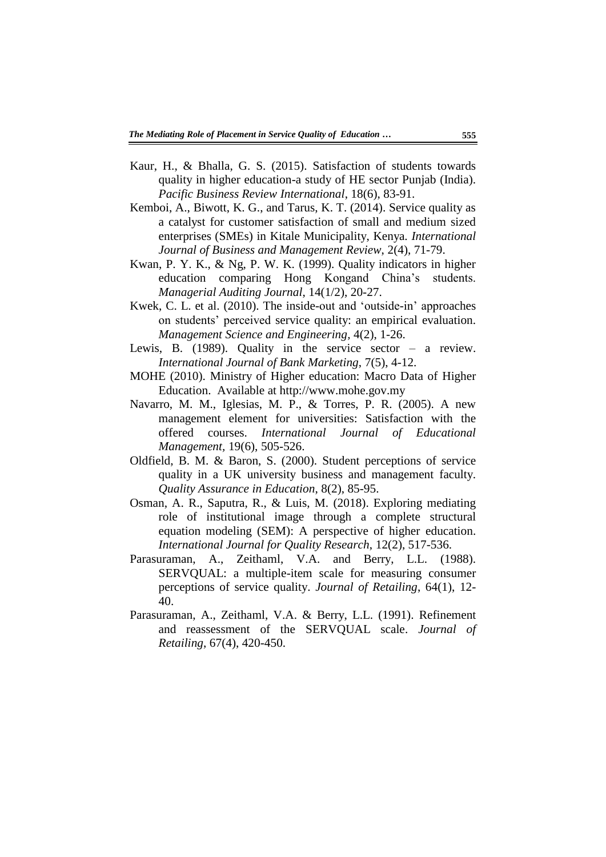- Kaur, H., & Bhalla, G. S. (2015). Satisfaction of students towards quality in higher education-a study of HE sector Punjab (India). *Pacific Business Review International*, 18(6), 83-91.
- Kemboi, A., Biwott, K. G., and Tarus, K. T. (2014). Service quality as a catalyst for customer satisfaction of small and medium sized enterprises (SMEs) in Kitale Municipality, Kenya. *International Journal of Business and Management Review*, 2(4), 71-79.
- Kwan, P. Y. K., & Ng, P. W. K. (1999). Quality indicators in higher education comparing Hong Kongand China"s students. *Managerial Auditing Journal*, 14(1/2), 20-27.
- Kwek, C. L. et al. (2010). The inside-out and "outside-in" approaches on students" perceived service quality: an empirical evaluation. *Management Science and Engineering,* 4(2), 1-26.
- Lewis, B. (1989). Quality in the service sector a review. *International Journal of Bank Marketing*, 7(5), 4-12.
- MOHE (2010). Ministry of Higher education: Macro Data of Higher Education. Available at http://www.mohe.gov.my
- Navarro, M. M., Iglesias, M. P., & Torres, P. R. (2005). A new management element for universities: Satisfaction with the offered courses. *International Journal of Educational Management,* 19(6), 505-526.
- Oldfield, B. M. & Baron, S. (2000). Student perceptions of service quality in a UK university business and management faculty. *Quality Assurance in Education*, 8(2), 85-95.
- Osman, A. R., Saputra, R., & Luis, M. (2018). Exploring mediating role of institutional image through a complete structural equation modeling (SEM): A perspective of higher education. *International Journal for Quality Research*, 12(2), 517-536.
- Parasuraman, A., Zeithaml, V.A. and Berry, L.L. (1988). SERVQUAL: a multiple-item scale for measuring consumer perceptions of service quality. *Journal of Retailing*, 64(1), 12- 40.
- Parasuraman, A., Zeithaml, V.A. & Berry, L.L. (1991). Refinement and reassessment of the SERVQUAL scale. *Journal of Retailing*, 67(4), 420-450.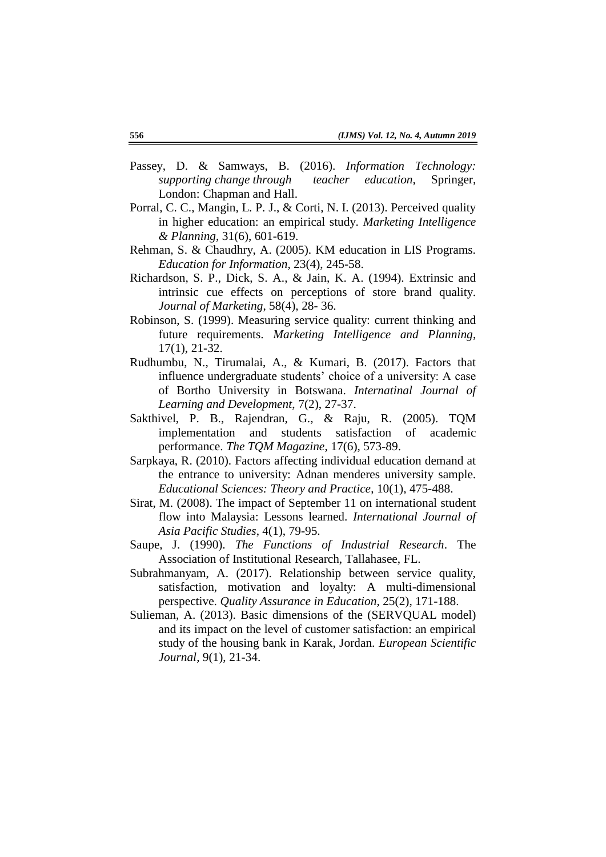- Passey, D. & Samways, B. (2016). *Information Technology: supporting change through teacher education*, Springer, London: Chapman and Hall.
- Porral, C. C., Mangin, L. P. J., & Corti, N. I. (2013). Perceived quality in higher education: an empirical study. *Marketing Intelligence & Planning*, 31(6), 601-619.
- Rehman, S. & Chaudhry, A. (2005). KM education in LIS Programs. *Education for Information*, 23(4), 245-58.
- Richardson, S. P., Dick, S. A., & Jain, K. A. (1994). Extrinsic and intrinsic cue effects on perceptions of store brand quality. *Journal of Marketing*, 58(4), 28- 36.
- Robinson, S. (1999). Measuring service quality: current thinking and future requirements. *Marketing Intelligence and Planning*, 17(1), 21-32.
- Rudhumbu, N., Tirumalai, A., & Kumari, B. (2017). Factors that influence undergraduate students' choice of a university: A case of Bortho University in Botswana. *Internatinal Journal of Learning and Development*, 7(2), 27-37.
- Sakthivel, P. B., Rajendran, G., & Raju, R. (2005). TQM implementation and students satisfaction of academic performance. *The TQM Magazine*, 17(6), 573-89.
- Sarpkaya, R. (2010). Factors affecting individual education demand at the entrance to university: Adnan menderes university sample. *Educational Sciences: Theory and Practice*, 10(1), 475-488.
- Sirat, M. (2008). The impact of September 11 on international student flow into Malaysia: Lessons learned. *International Journal of Asia Pacific Studies*, 4(1), 79-95.
- Saupe, J. (1990). *The Functions of Industrial Research*. The Association of Institutional Research, Tallahasee, FL.
- Subrahmanyam, A. (2017). Relationship between service quality, satisfaction, motivation and loyalty: A multi-dimensional perspective. *Quality Assurance in Education*, 25(2), 171-188.
- Sulieman, A. (2013). Basic dimensions of the (SERVQUAL model) and its impact on the level of customer satisfaction: an empirical study of the housing bank in Karak, Jordan. *European Scientific Journal*, 9(1), 21-34.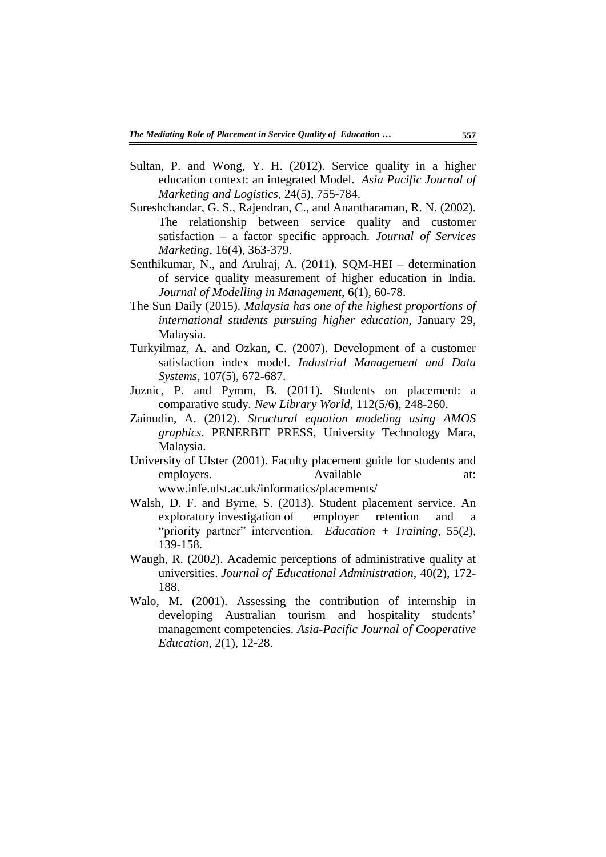- Sultan, P. and Wong, Y. H. (2012). Service quality in a higher education context: an integrated Model. *Asia Pacific Journal of Marketing and Logistics*, 24(5), 755-784.
- Sureshchandar, G. S., Rajendran, C., and Anantharaman, R. N. (2002). The relationship between service quality and customer satisfaction – a factor specific approach. *Journal of Services Marketing*, 16(4), 363-379.
- Senthikumar, N., and Arulraj, A. (2011). SQM-HEI determination of service quality measurement of higher education in India. *Journal of Modelling in Management*, 6(1), 60-78.
- The Sun Daily (2015). *Malaysia has one of the highest proportions of international students pursuing higher education*, January 29, Malaysia.
- Turkyilmaz, A. and Ozkan, C. (2007). Development of a customer satisfaction index model. *Industrial Management and Data Systems*, 107(5), 672-687.
- Juznic, P. and Pymm, B. (2011). Students on placement: a comparative study. *New Library World*, 112(5/6), 248-260.
- Zainudin, A. (2012). *Structural equation modeling using AMOS graphics*. PENERBIT PRESS, University Technology Mara, Malaysia.
- University of Ulster (2001). Faculty placement guide for students and employers. Available at: www.infe.ulst.ac.uk/informatics/placements/
- Walsh, D. F. and Byrne, S. (2013). Student placement service. An exploratory investigation of employer retention and a "priority partner" intervention. *Education + Training*, 55(2), 139-158.
- Waugh, R. (2002). Academic perceptions of administrative quality at universities. *Journal of Educational Administration*, 40(2), 172- 188.
- Walo, M. (2001). Assessing the contribution of internship in developing Australian tourism and hospitality students' management competencies. *Asia-Pacific Journal of Cooperative Education*, 2(1), 12-28.